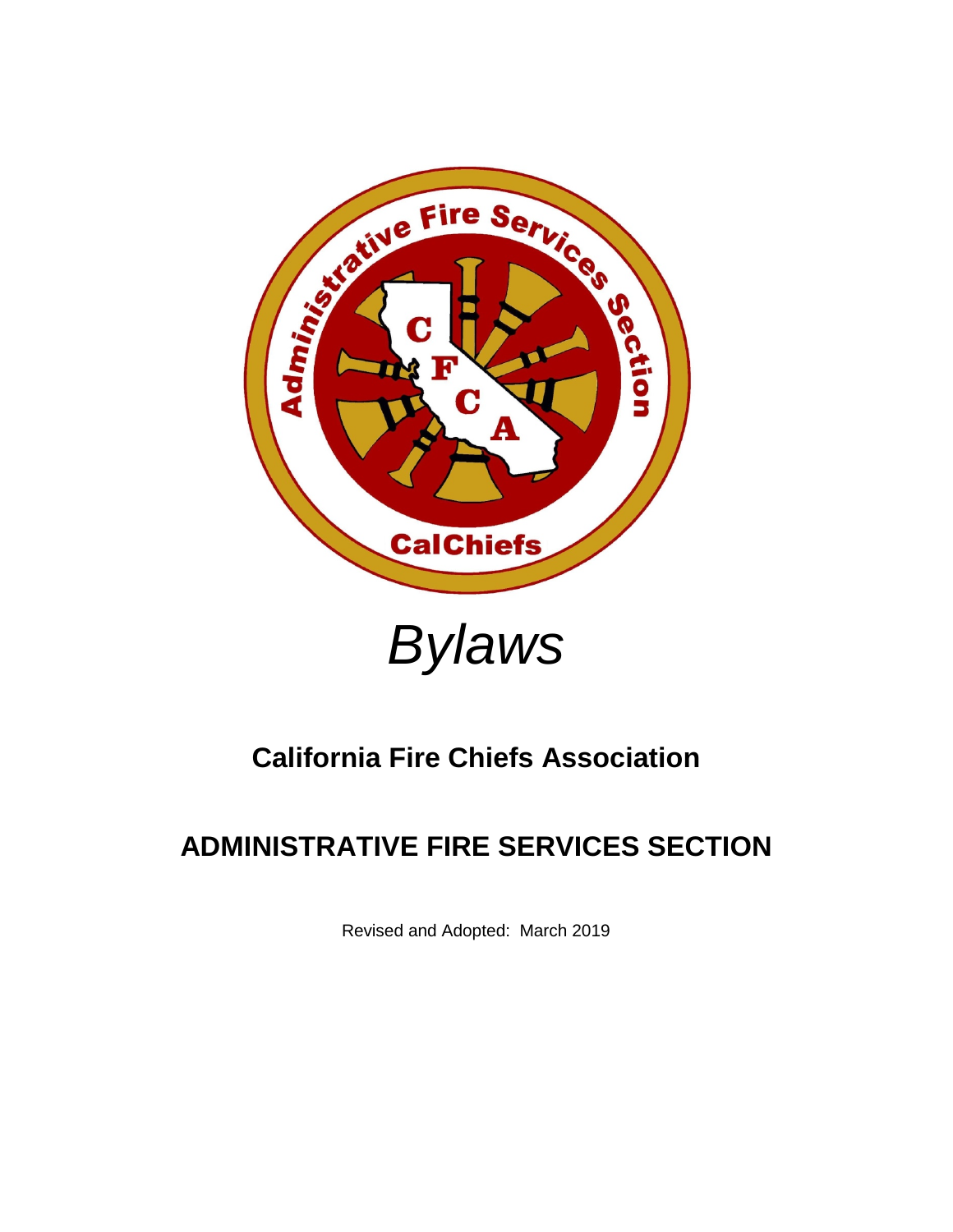



## **California Fire Chiefs Association**

# **ADMINISTRATIVE FIRE SERVICES SECTION**

Revised and Adopted: March 2019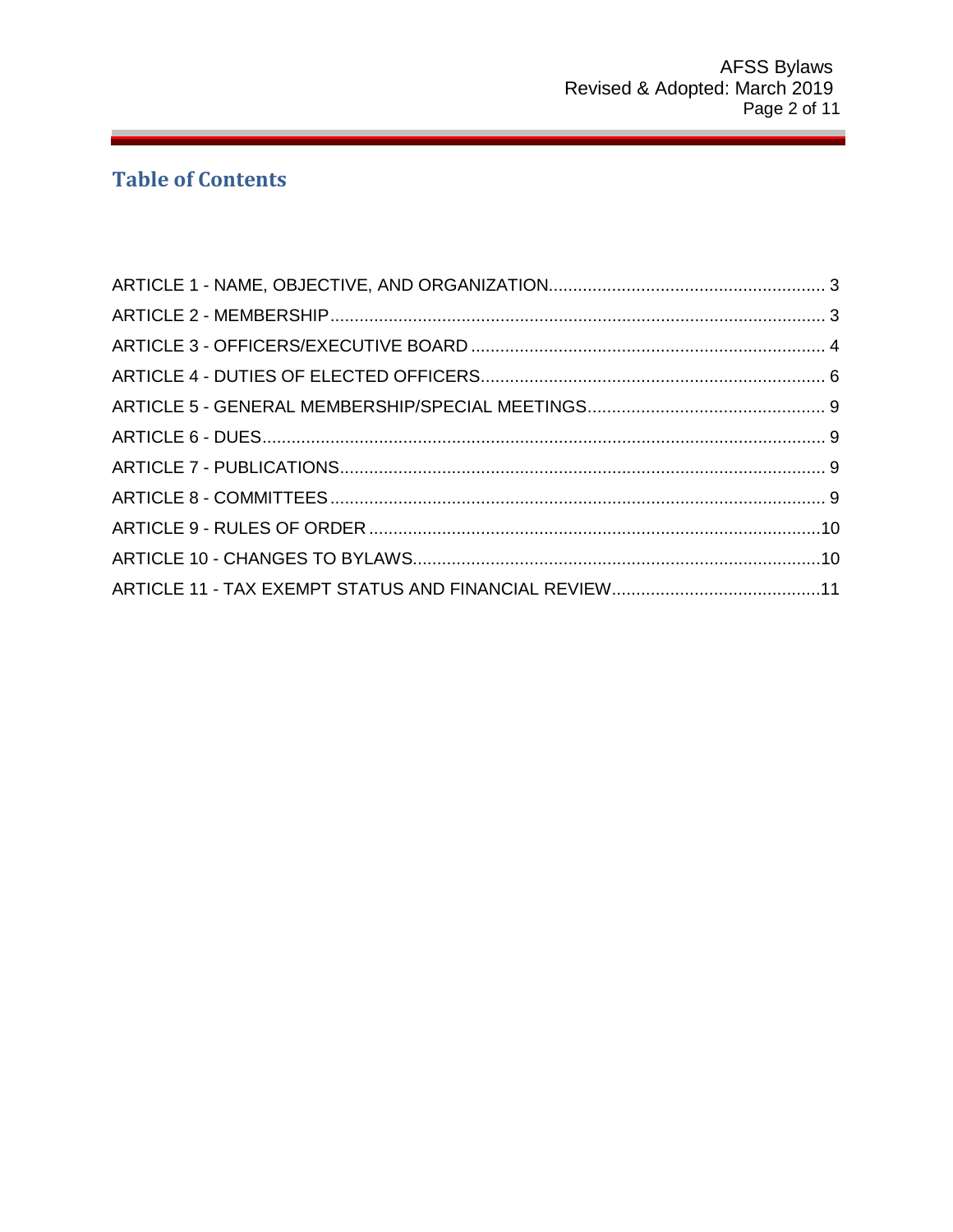## **Table of Contents**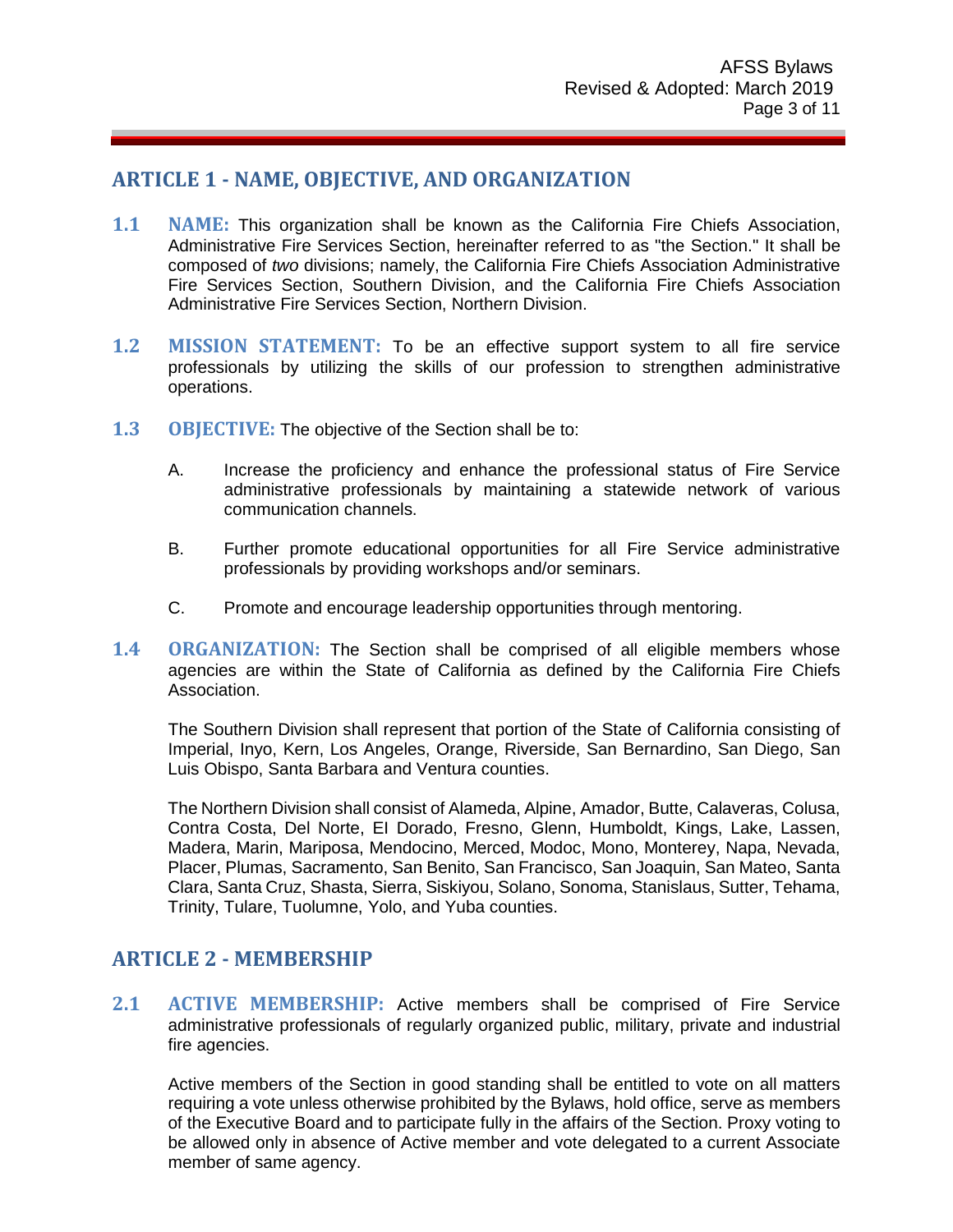## <span id="page-2-0"></span>**ARTICLE 1 - NAME, OBJECTIVE, AND ORGANIZATION**

- **1.1 NAME:** This organization shall be known as the California Fire Chiefs Association, Administrative Fire Services Section, hereinafter referred to as "the Section." It shall be composed of *two* divisions; namely, the California Fire Chiefs Association Administrative Fire Services Section, Southern Division, and the California Fire Chiefs Association Administrative Fire Services Section, Northern Division.
- **1.2 MISSION STATEMENT:** To be an effective support system to all fire service professionals by utilizing the skills of our profession to strengthen administrative operations.
- **1.3 OBJECTIVE:** The objective of the Section shall be to:
	- A. Increase the proficiency and enhance the professional status of Fire Service administrative professionals by maintaining a statewide network of various communication channels.
	- B. Further promote educational opportunities for all Fire Service administrative professionals by providing workshops and/or seminars.
	- C. Promote and encourage leadership opportunities through mentoring.
- **1.4 ORGANIZATION:** The Section shall be comprised of all eligible members whose agencies are within the State of California as defined by the California Fire Chiefs Association.

The Southern Division shall represent that portion of the State of California consisting of Imperial, Inyo, Kern, Los Angeles, Orange, Riverside, San Bernardino, San Diego, San Luis Obispo, Santa Barbara and Ventura counties.

The Northern Division shall consist of Alameda, Alpine, Amador, Butte, Calaveras, Colusa, Contra Costa, Del Norte, EI Dorado, Fresno, Glenn, Humboldt, Kings, Lake, Lassen, Madera, Marin, Mariposa, Mendocino, Merced, Modoc, Mono, Monterey, Napa, Nevada, Placer, Plumas, Sacramento, San Benito, San Francisco, San Joaquin, San Mateo, Santa Clara, Santa Cruz, Shasta, Sierra, Siskiyou, Solano, Sonoma, Stanislaus, Sutter, Tehama, Trinity, Tulare, Tuolumne, Yolo, and Yuba counties.

## <span id="page-2-1"></span>**ARTICLE 2 - MEMBERSHIP**

**2.1 ACTIVE MEMBERSHIP:** Active members shall be comprised of Fire Service administrative professionals of regularly organized public, military, private and industrial fire agencies.

Active members of the Section in good standing shall be entitled to vote on all matters requiring a vote unless otherwise prohibited by the Bylaws, hold office, serve as members of the Executive Board and to participate fully in the affairs of the Section. Proxy voting to be allowed only in absence of Active member and vote delegated to a current Associate member of same agency.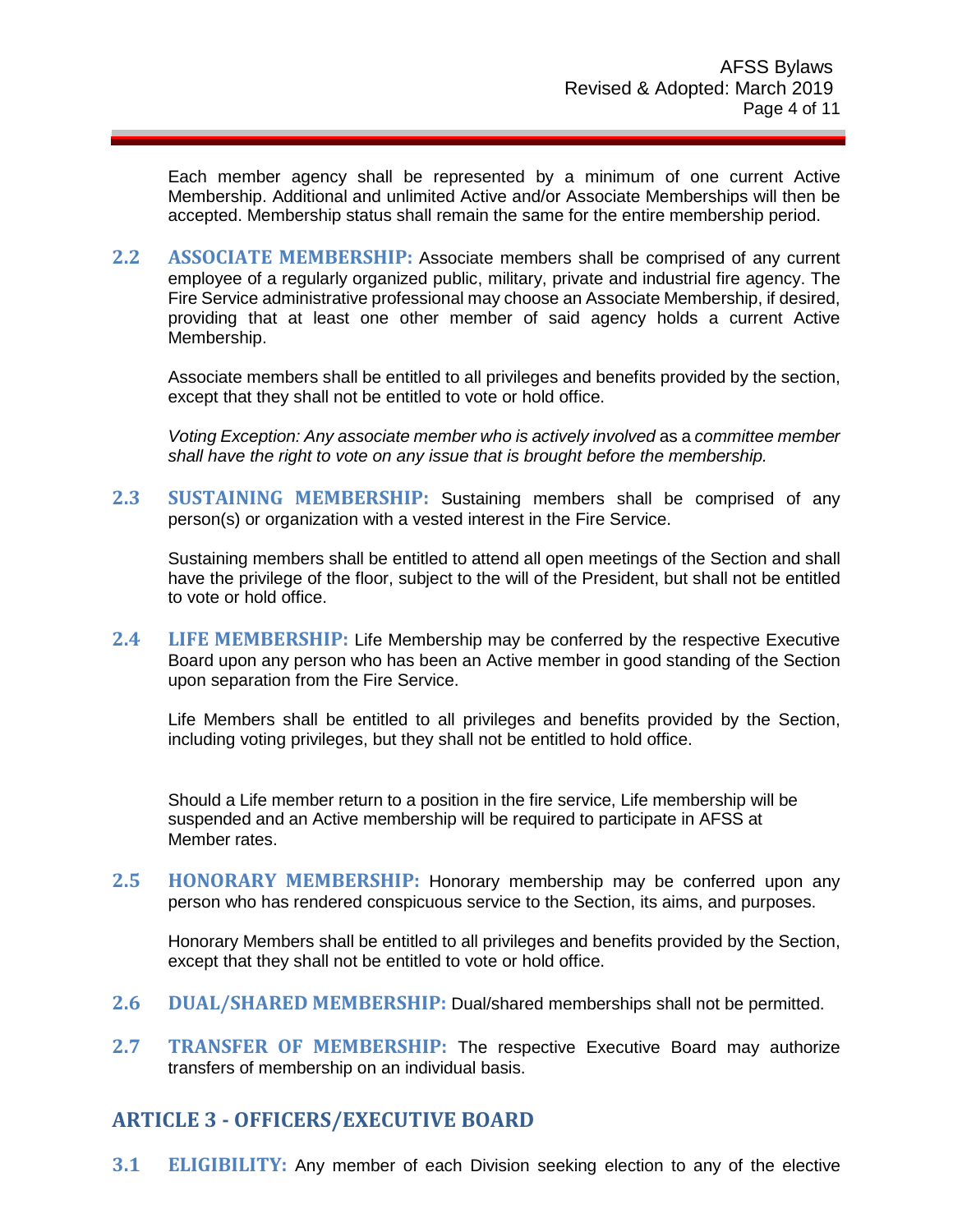Each member agency shall be represented by a minimum of one current Active Membership. Additional and unlimited Active and/or Associate Memberships will then be accepted. Membership status shall remain the same for the entire membership period.

**2.2 ASSOCIATE MEMBERSHIP:** Associate members shall be comprised of any current employee of a regularly organized public, military, private and industrial fire agency. The Fire Service administrative professional may choose an Associate Membership, if desired, providing that at least one other member of said agency holds a current Active Membership.

Associate members shall be entitled to all privileges and benefits provided by the section, except that they shall not be entitled to vote or hold office.

*Voting Exception: Any associate member who is actively involved* as a *committee member shall have the right to vote on any issue that is brought before the membership.* 

**2.3 SUSTAINING MEMBERSHIP:** Sustaining members shall be comprised of any person(s) or organization with a vested interest in the Fire Service.

Sustaining members shall be entitled to attend all open meetings of the Section and shall have the privilege of the floor, subject to the will of the President, but shall not be entitled to vote or hold office.

**2.4 LIFE MEMBERSHIP:** Life Membership may be conferred by the respective Executive Board upon any person who has been an Active member in good standing of the Section upon separation from the Fire Service.

Life Members shall be entitled to all privileges and benefits provided by the Section, including voting privileges, but they shall not be entitled to hold office.

Should a Life member return to a position in the fire service, Life membership will be suspended and an Active membership will be required to participate in AFSS at Member rates.

**2.5 HONORARY MEMBERSHIP:** Honorary membership may be conferred upon any person who has rendered conspicuous service to the Section, its aims, and purposes.

Honorary Members shall be entitled to all privileges and benefits provided by the Section, except that they shall not be entitled to vote or hold office.

- **2.6 DUAL/SHARED MEMBERSHIP:** Dual/shared memberships shall not be permitted.
- **2.7 TRANSFER OF MEMBERSHIP:** The respective Executive Board may authorize transfers of membership on an individual basis.

## <span id="page-3-0"></span>**ARTICLE 3 - OFFICERS/EXECUTIVE BOARD**

**3.1 ELIGIBILITY:** Any member of each Division seeking election to any of the elective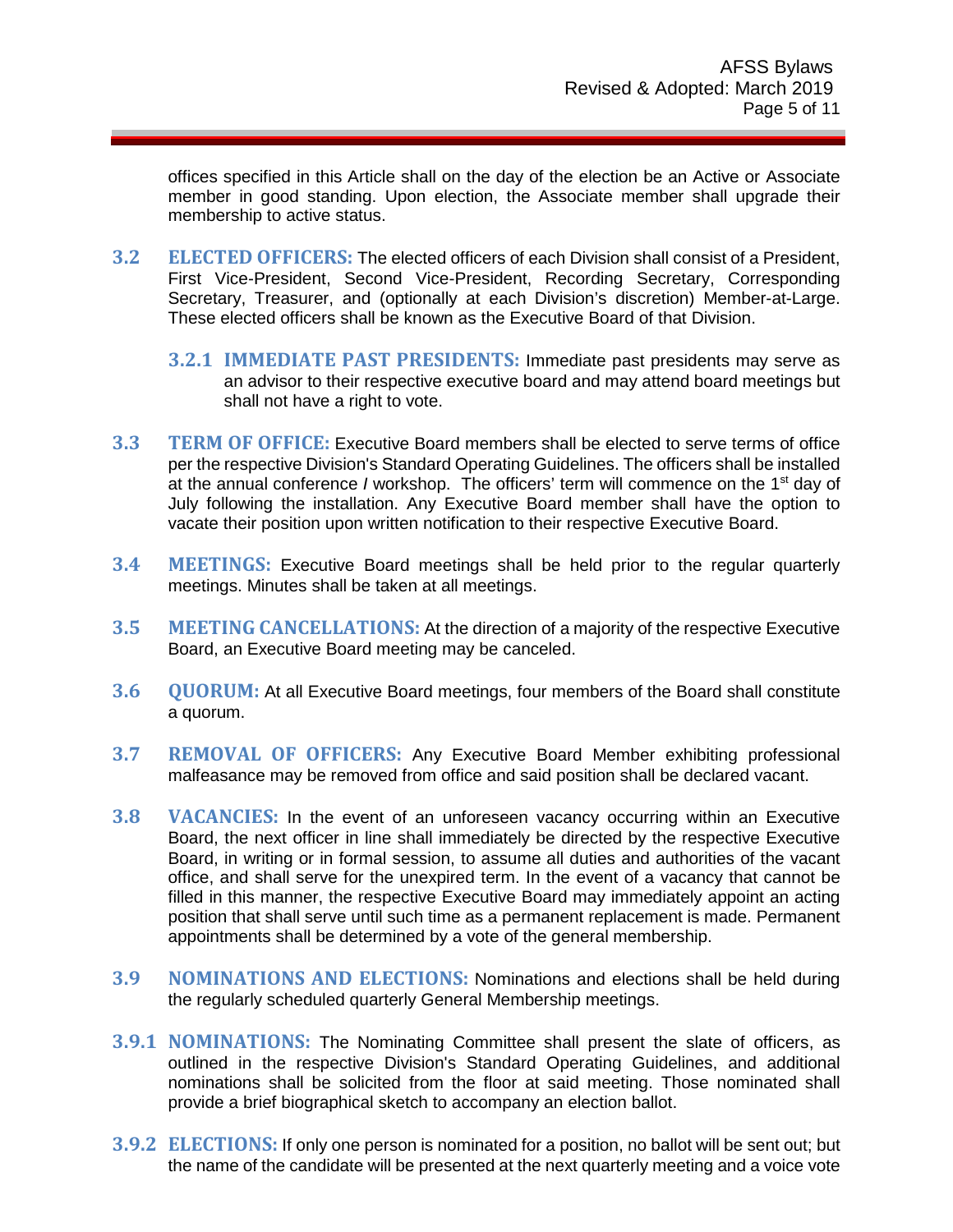offices specified in this Article shall on the day of the election be an Active or Associate member in good standing. Upon election, the Associate member shall upgrade their membership to active status.

- **3.2 ELECTED OFFICERS:** The elected officers of each Division shall consist of a President, First Vice-President, Second Vice-President, Recording Secretary, Corresponding Secretary, Treasurer, and (optionally at each Division's discretion) Member-at-Large. These elected officers shall be known as the Executive Board of that Division.
	- **3.2.1 IMMEDIATE PAST PRESIDENTS:** Immediate past presidents may serve as an advisor to their respective executive board and may attend board meetings but shall not have a right to vote.
- **3.3 TERM OF OFFICE:** Executive Board members shall be elected to serve terms of office per the respective Division's Standard Operating Guidelines. The officers shall be installed at the annual conference *I* workshop. The officers' term will commence on the 1st day of July following the installation. Any Executive Board member shall have the option to vacate their position upon written notification to their respective Executive Board.
- **3.4 MEETINGS:** Executive Board meetings shall be held prior to the regular quarterly meetings. Minutes shall be taken at all meetings.
- **3.5 MEETING CANCELLATIONS:** At the direction of a majority of the respective Executive Board, an Executive Board meeting may be canceled.
- **3.6 QUORUM:** At all Executive Board meetings, four members of the Board shall constitute a quorum.
- **3.7 REMOVAL OF OFFICERS:** Any Executive Board Member exhibiting professional malfeasance may be removed from office and said position shall be declared vacant.
- **3.8 VACANCIES:** In the event of an unforeseen vacancy occurring within an Executive Board, the next officer in line shall immediately be directed by the respective Executive Board, in writing or in formal session, to assume all duties and authorities of the vacant office, and shall serve for the unexpired term. In the event of a vacancy that cannot be filled in this manner, the respective Executive Board may immediately appoint an acting position that shall serve until such time as a permanent replacement is made. Permanent appointments shall be determined by a vote of the general membership.
- **3.9 NOMINATIONS AND ELECTIONS:** Nominations and elections shall be held during the regularly scheduled quarterly General Membership meetings.
- **3.9.1 NOMINATIONS:** The Nominating Committee shall present the slate of officers, as outlined in the respective Division's Standard Operating Guidelines, and additional nominations shall be solicited from the floor at said meeting. Those nominated shall provide a brief biographical sketch to accompany an election ballot.
- **3.9.2 ELECTIONS:** If only one person is nominated for a position, no ballot will be sent out; but the name of the candidate will be presented at the next quarterly meeting and a voice vote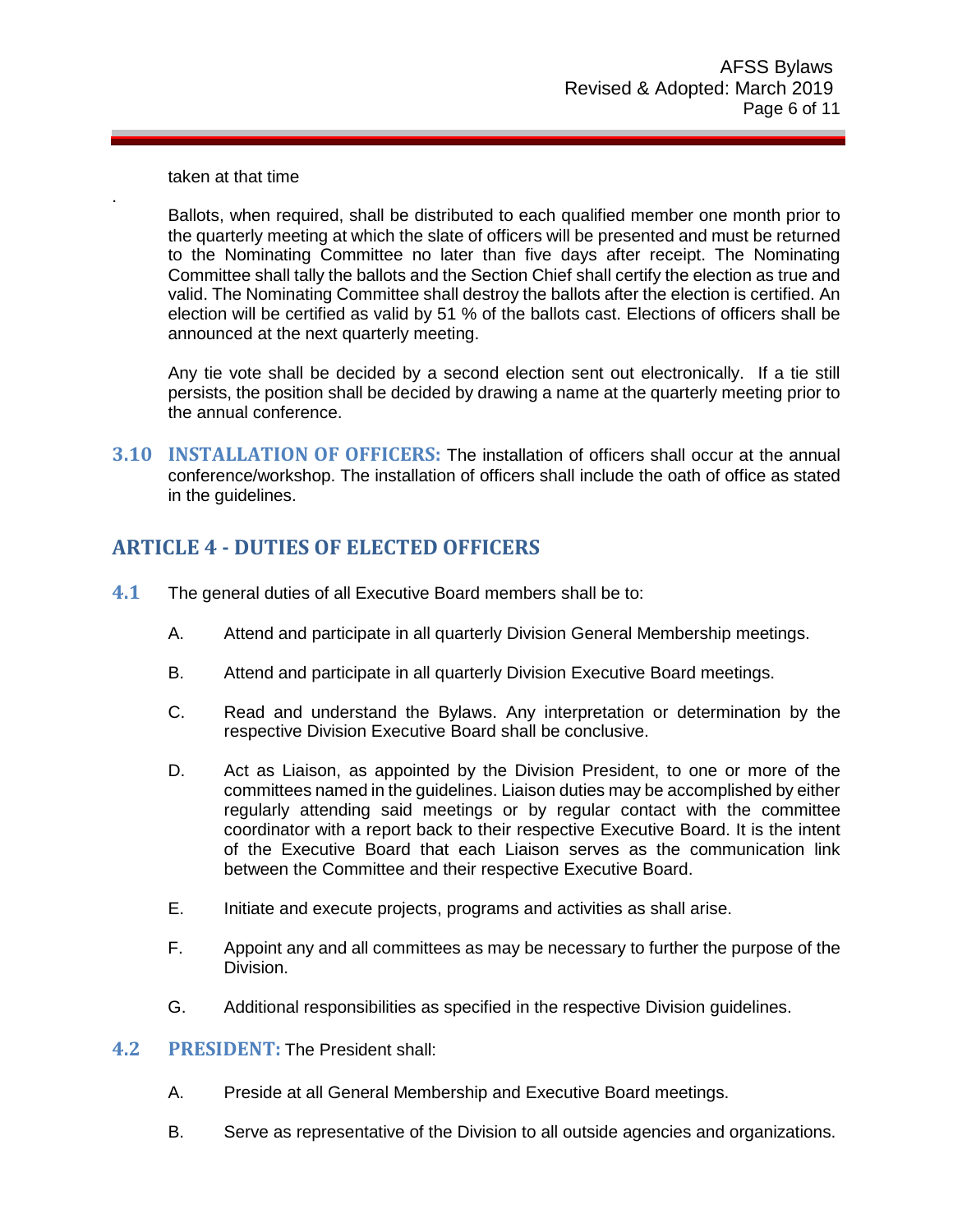taken at that time

.

Ballots, when required, shall be distributed to each qualified member one month prior to the quarterly meeting at which the slate of officers will be presented and must be returned to the Nominating Committee no later than five days after receipt. The Nominating Committee shall tally the ballots and the Section Chief shall certify the election as true and valid. The Nominating Committee shall destroy the ballots after the election is certified. An election will be certified as valid by 51 % of the ballots cast. Elections of officers shall be announced at the next quarterly meeting.

Any tie vote shall be decided by a second election sent out electronically. If a tie still persists, the position shall be decided by drawing a name at the quarterly meeting prior to the annual conference.

**3.10 INSTALLATION OF OFFICERS:** The installation of officers shall occur at the annual conference/workshop. The installation of officers shall include the oath of office as stated in the guidelines.

## <span id="page-5-0"></span>**ARTICLE 4 - DUTIES OF ELECTED OFFICERS**

- **4.1** The general duties of all Executive Board members shall be to:
	- A. Attend and participate in all quarterly Division General Membership meetings.
	- B. Attend and participate in all quarterly Division Executive Board meetings.
	- C. Read and understand the Bylaws. Any interpretation or determination by the respective Division Executive Board shall be conclusive.
	- D. Act as Liaison, as appointed by the Division President, to one or more of the committees named in the guidelines. Liaison duties may be accomplished by either regularly attending said meetings or by regular contact with the committee coordinator with a report back to their respective Executive Board. It is the intent of the Executive Board that each Liaison serves as the communication link between the Committee and their respective Executive Board.
	- E. Initiate and execute projects, programs and activities as shall arise.
	- F. Appoint any and all committees as may be necessary to further the purpose of the Division.
	- G. Additional responsibilities as specified in the respective Division guidelines.
- **4.2 PRESIDENT:** The President shall:
	- A. Preside at all General Membership and Executive Board meetings.
	- B. Serve as representative of the Division to all outside agencies and organizations.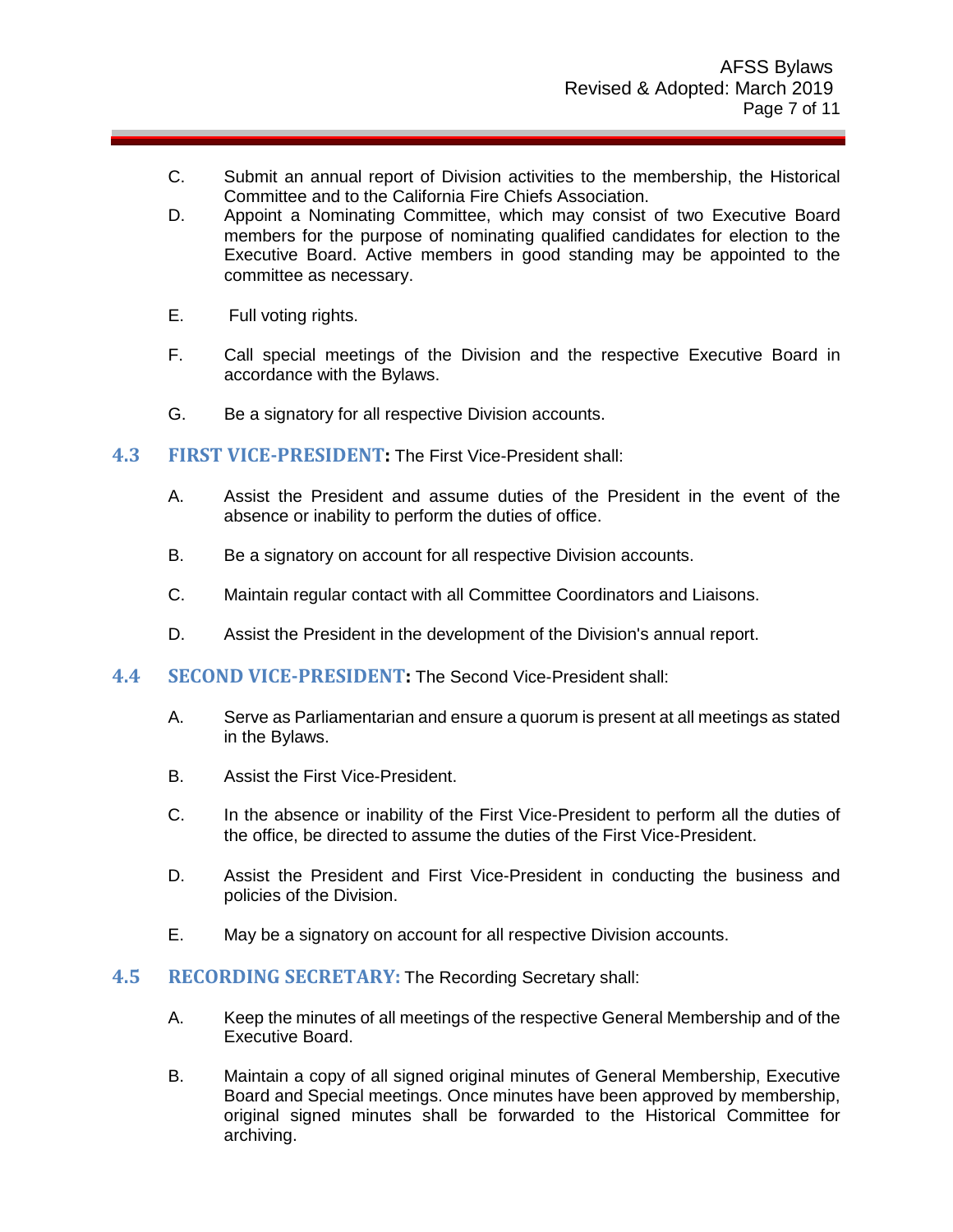- C. Submit an annual report of Division activities to the membership, the Historical Committee and to the California Fire Chiefs Association.
- D. Appoint a Nominating Committee, which may consist of two Executive Board members for the purpose of nominating qualified candidates for election to the Executive Board. Active members in good standing may be appointed to the committee as necessary.
- E. Full voting rights.
- F. Call special meetings of the Division and the respective Executive Board in accordance with the Bylaws.
- G. Be a signatory for all respective Division accounts.
- **4.3 FIRST VICE-PRESIDENT:** The First Vice-President shall:
	- A. Assist the President and assume duties of the President in the event of the absence or inability to perform the duties of office.
	- B. Be a signatory on account for all respective Division accounts.
	- C. Maintain regular contact with all Committee Coordinators and Liaisons.
	- D. Assist the President in the development of the Division's annual report.
- **4.4 SECOND VICE-PRESIDENT:** The Second Vice-President shall:
	- A. Serve as Parliamentarian and ensure a quorum is present at all meetings as stated in the Bylaws.
	- B. Assist the First Vice-President.
	- C. In the absence or inability of the First Vice-President to perform all the duties of the office, be directed to assume the duties of the First Vice-President.
	- D. Assist the President and First Vice-President in conducting the business and policies of the Division.
	- E. May be a signatory on account for all respective Division accounts.

#### **4.5 RECORDING SECRETARY:** The Recording Secretary shall:

- A. Keep the minutes of all meetings of the respective General Membership and of the Executive Board.
- B. Maintain a copy of all signed original minutes of General Membership, Executive Board and Special meetings. Once minutes have been approved by membership, original signed minutes shall be forwarded to the Historical Committee for archiving.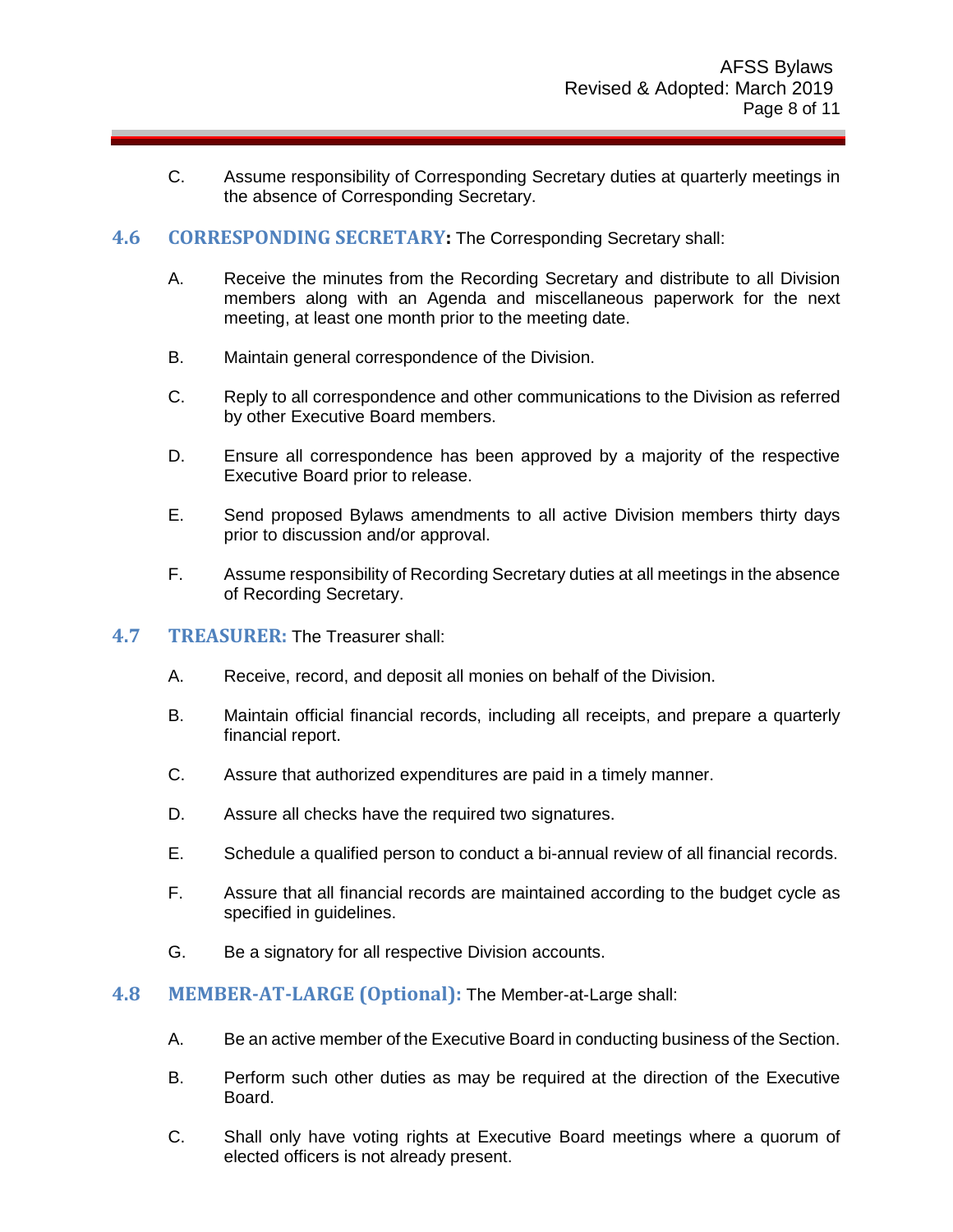C. Assume responsibility of Corresponding Secretary duties at quarterly meetings in the absence of Corresponding Secretary.

#### **4.6 CORRESPONDING SECRETARY:** The Corresponding Secretary shall:

- A. Receive the minutes from the Recording Secretary and distribute to all Division members along with an Agenda and miscellaneous paperwork for the next meeting, at least one month prior to the meeting date.
- B. Maintain general correspondence of the Division.
- C. Reply to all correspondence and other communications to the Division as referred by other Executive Board members.
- D. Ensure all correspondence has been approved by a majority of the respective Executive Board prior to release.
- E. Send proposed Bylaws amendments to all active Division members thirty days prior to discussion and/or approval.
- F. Assume responsibility of Recording Secretary duties at all meetings in the absence of Recording Secretary.
- **4.7 TREASURER:** The Treasurer shall:
	- A. Receive, record, and deposit all monies on behalf of the Division.
	- B. Maintain official financial records, including all receipts, and prepare a quarterly financial report.
	- C. Assure that authorized expenditures are paid in a timely manner.
	- D. Assure all checks have the required two signatures.
	- E. Schedule a qualified person to conduct a bi-annual review of all financial records.
	- F. Assure that all financial records are maintained according to the budget cycle as specified in guidelines.
	- G. Be a signatory for all respective Division accounts.

#### **4.8 MEMBER-AT-LARGE (Optional):** The Member-at-Large shall:

- A. Be an active member of the Executive Board in conducting business of the Section.
- B. Perform such other duties as may be required at the direction of the Executive Board.
- C. Shall only have voting rights at Executive Board meetings where a quorum of elected officers is not already present.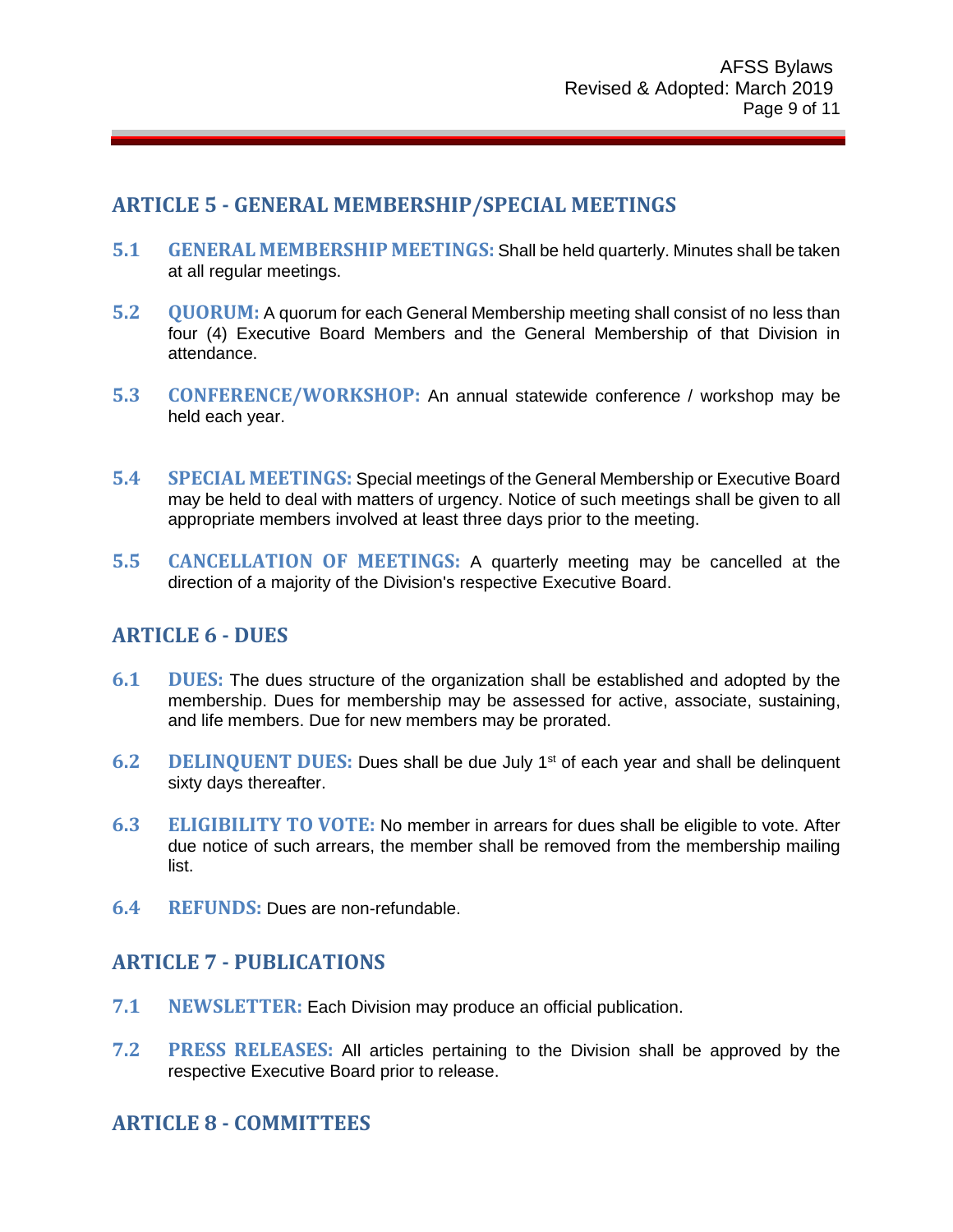## <span id="page-8-0"></span>**ARTICLE 5 - GENERAL MEMBERSHIP/SPECIAL MEETINGS**

- **5.1 GENERAL MEMBERSHIP MEETINGS:** Shall be held quarterly. Minutes shall be taken at all regular meetings.
- **5.2 QUORUM:** A quorum for each General Membership meeting shall consist of no less than four (4) Executive Board Members and the General Membership of that Division in attendance.
- **5.3 CONFERENCE/WORKSHOP:** An annual statewide conference / workshop may be held each year.
- **5.4 SPECIAL MEETINGS:** Special meetings of the General Membership or Executive Board may be held to deal with matters of urgency. Notice of such meetings shall be given to all appropriate members involved at least three days prior to the meeting.
- **5.5 CANCELLATION OF MEETINGS:** A quarterly meeting may be cancelled at the direction of a majority of the Division's respective Executive Board.

## <span id="page-8-1"></span>**ARTICLE 6 - DUES**

- **6.1 DUES:** The dues structure of the organization shall be established and adopted by the membership. Dues for membership may be assessed for active, associate, sustaining, and life members. Due for new members may be prorated.
- **6.2 DELINQUENT DUES:** Dues shall be due July 1st of each year and shall be delinquent sixty days thereafter.
- **6.3 ELIGIBILITY TO VOTE:** No member in arrears for dues shall be eligible to vote. After due notice of such arrears, the member shall be removed from the membership mailing list.
- **6.4 REFUNDS:** Dues are non-refundable.

## <span id="page-8-2"></span>**ARTICLE 7 - PUBLICATIONS**

- **7.1 NEWSLETTER:** Each Division may produce an official publication.
- **7.2 PRESS RELEASES:** All articles pertaining to the Division shall be approved by the respective Executive Board prior to release.

## <span id="page-8-3"></span>**ARTICLE 8 - COMMITTEES**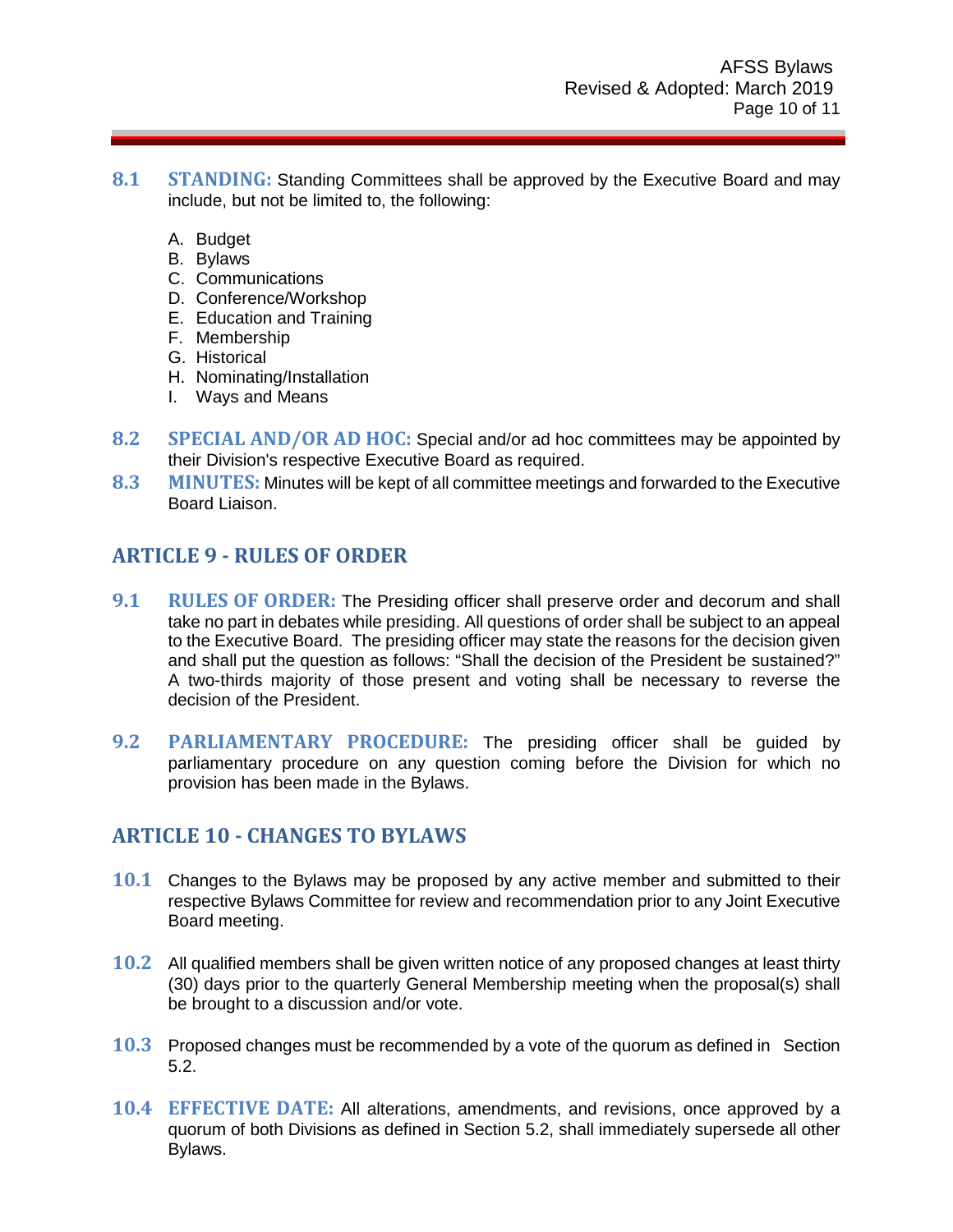- **8.1 STANDING:** Standing Committees shall be approved by the Executive Board and may include, but not be limited to, the following:
	- A. Budget
	- B. Bylaws
	- C. Communications
	- D. Conference/Workshop
	- E. Education and Training
	- F. Membership
	- G. Historical
	- H. Nominating/Installation
	- I. Ways and Means
- **8.2 SPECIAL AND/OR AD HOC:** Special and/or ad hoc committees may be appointed by their Division's respective Executive Board as required.
- **8.3 MINUTES:** Minutes will be kept of all committee meetings and forwarded to the Executive Board Liaison.

## <span id="page-9-0"></span>**ARTICLE 9 - RULES OF ORDER**

- **9.1 RULES OF ORDER:** The Presiding officer shall preserve order and decorum and shall take no part in debates while presiding. All questions of order shall be subject to an appeal to the Executive Board. The presiding officer may state the reasons for the decision given and shall put the question as follows: "Shall the decision of the President be sustained?" A two-thirds majority of those present and voting shall be necessary to reverse the decision of the President.
- **9.2 PARLIAMENTARY PROCEDURE:** The presiding officer shall be guided by parliamentary procedure on any question coming before the Division for which no provision has been made in the Bylaws.

## <span id="page-9-1"></span>**ARTICLE 10 - CHANGES TO BYLAWS**

- **10.1** Changes to the Bylaws may be proposed by any active member and submitted to their respective Bylaws Committee for review and recommendation prior to any Joint Executive Board meeting.
- **10.2** All qualified members shall be given written notice of any proposed changes at least thirty (30) days prior to the quarterly General Membership meeting when the proposal(s) shall be brought to a discussion and/or vote.
- **10.3** Proposed changes must be recommended by a vote of the quorum as defined in Section 5.2.
- **10.4 EFFECTIVE DATE:** All alterations, amendments, and revisions, once approved by a quorum of both Divisions as defined in Section 5.2, shall immediately supersede all other Bylaws.